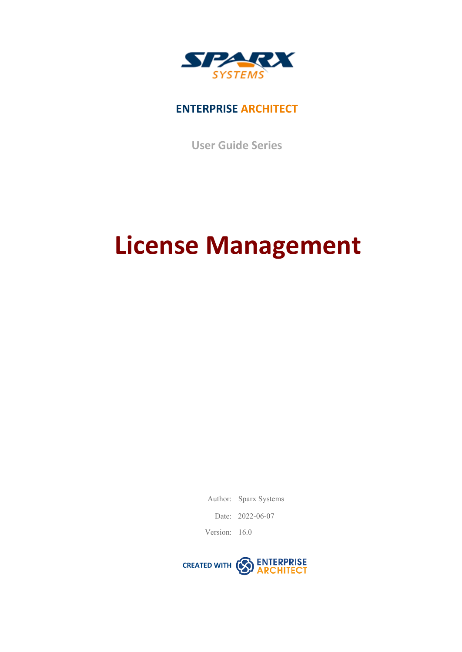

### **ENTERPRISE ARCHITECT**

**User Guide Series**

# **License Management**

Author: Sparx Systems

Date: 2022-06-07

Version: 16.0

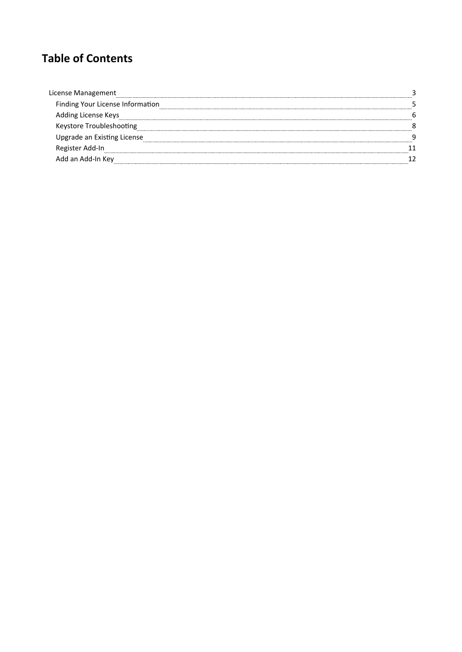### **Table of Contents**

| License Management               |  |
|----------------------------------|--|
| Finding Your License Information |  |
| 'ding License Keys               |  |
| Keystore Troubleshooting         |  |
| Upgrade an Existing License      |  |
| Register Add-In                  |  |
| d an Add-In Key                  |  |
|                                  |  |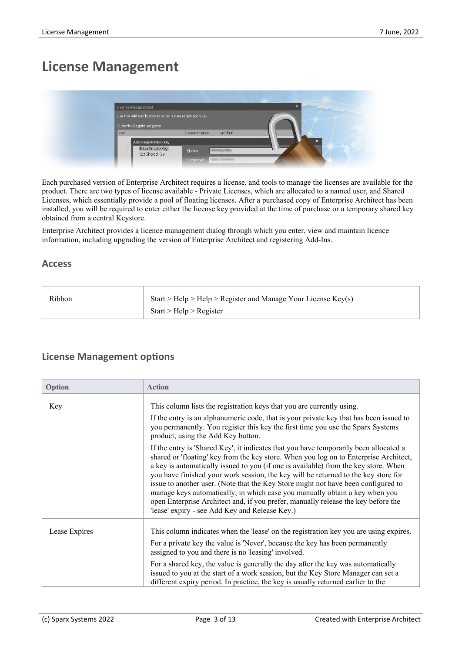### **License Management**

| <b>Licence Management</b>                               |                            | $\times$<br><b>COLORADO DE CALIFORNIA</b> |
|---------------------------------------------------------|----------------------------|-------------------------------------------|
| Use the Add Key button to enter a new registration key. |                            |                                           |
| Currently Registered Keys:                              |                            |                                           |
| Key                                                     | Product<br>Lease Expires   |                                           |
| <b>Add Registration Key</b>                             |                            | $\times$                                  |
| Enter Private Key<br>Get Shared Key                     | Name:                      |                                           |
|                                                         | Team Scottsmen<br>Company: |                                           |

Each purchased version of Enterprise Architect requires a license, and tools to manage the licenses are available for the product. There are two types of license available - Private Licenses, which are allocated to a named user, and Shared Licenses, which essentially provide a pool of floating licenses. After a purchased copy of Enterprise Architect has been installed, you will be required to enter either the license key provided at the time of purchase or a temporary shared key obtained from a central Keystore.

Enterprise Architect provides a licence management dialog through which you enter, view and maintain licence information, including upgrading the version of Enterprise Architect and registering Add-Ins.

#### **Access**

| Ribbon | Start > Help > Help > Register and Manage Your License $Key(s)$ |
|--------|-----------------------------------------------------------------|
|        | Start > Help > Register                                         |

### **License Management options**

| Option        | <b>Action</b>                                                                                                                                                                                                                                                                                                                                                                                                                                                                                                                                                                                                                                                          |
|---------------|------------------------------------------------------------------------------------------------------------------------------------------------------------------------------------------------------------------------------------------------------------------------------------------------------------------------------------------------------------------------------------------------------------------------------------------------------------------------------------------------------------------------------------------------------------------------------------------------------------------------------------------------------------------------|
| Key           | This column lists the registration keys that you are currently using.                                                                                                                                                                                                                                                                                                                                                                                                                                                                                                                                                                                                  |
|               | If the entry is an alphanumeric code, that is your private key that has been issued to<br>you permanently. You register this key the first time you use the Sparx Systems<br>product, using the Add Key button.                                                                                                                                                                                                                                                                                                                                                                                                                                                        |
|               | If the entry is 'Shared Key', it indicates that you have temporarily been allocated a<br>shared or 'floating' key from the key store. When you log on to Enterprise Architect,<br>a key is automatically issued to you (if one is available) from the key store. When<br>you have finished your work session, the key will be returned to the key store for<br>issue to another user. (Note that the Key Store might not have been configured to<br>manage keys automatically, in which case you manually obtain a key when you<br>open Enterprise Architect and, if you prefer, manually release the key before the<br>'lease' expiry - see Add Key and Release Key.) |
| Lease Expires | This column indicates when the 'lease' on the registration key you are using expires.                                                                                                                                                                                                                                                                                                                                                                                                                                                                                                                                                                                  |
|               | For a private key the value is 'Never', because the key has been permanently<br>assigned to you and there is no 'leasing' involved.                                                                                                                                                                                                                                                                                                                                                                                                                                                                                                                                    |
|               | For a shared key, the value is generally the day after the key was automatically<br>issued to you at the start of a work session, but the Key Store Manager can set a<br>different expiry period. In practice, the key is usually returned earlier to the                                                                                                                                                                                                                                                                                                                                                                                                              |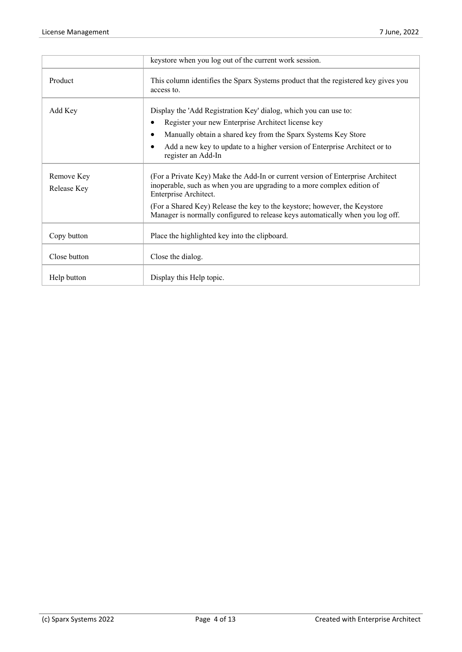|                           | keystore when you log out of the current work session.                                                                                                                             |
|---------------------------|------------------------------------------------------------------------------------------------------------------------------------------------------------------------------------|
| Product                   | This column identifies the Sparx Systems product that the registered key gives you<br>access to.                                                                                   |
| Add Key                   | Display the 'Add Registration Key' dialog, which you can use to:                                                                                                                   |
|                           | Register your new Enterprise Architect license key                                                                                                                                 |
|                           | Manually obtain a shared key from the Sparx Systems Key Store                                                                                                                      |
|                           | Add a new key to update to a higher version of Enterprise Architect or to<br>register an Add-In                                                                                    |
| Remove Key<br>Release Key | (For a Private Key) Make the Add-In or current version of Enterprise Architect<br>inoperable, such as when you are upgrading to a more complex edition of<br>Enterprise Architect. |
|                           | (For a Shared Key) Release the key to the keystore; however, the Keystore<br>Manager is normally configured to release keys automatically when you log off.                        |
| Copy button               | Place the highlighted key into the clipboard.                                                                                                                                      |
| Close button              | Close the dialog.                                                                                                                                                                  |
| Help button               | Display this Help topic.                                                                                                                                                           |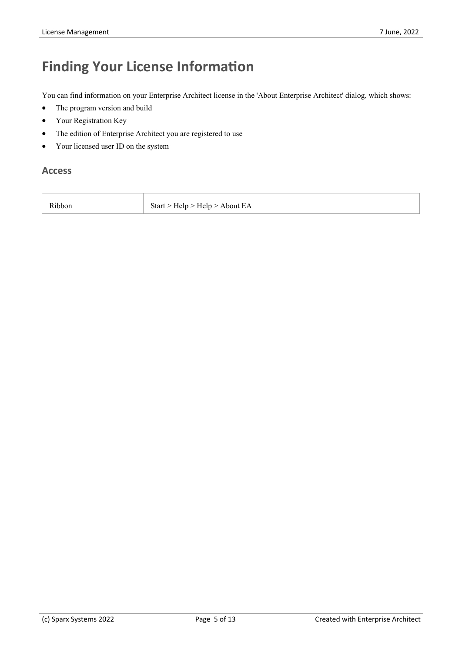# **Finding Your License Information**

You can find information on your Enterprise Architect license in the 'About Enterprise Architect' dialog, which shows:

- The program version and build
- · Your Registration Key
- The edition of Enterprise Architect you are registered to use
- Your licensed user ID on the system

#### **Access**

| Ribbon<br>Start > Help > Help > About EA |
|------------------------------------------|
|------------------------------------------|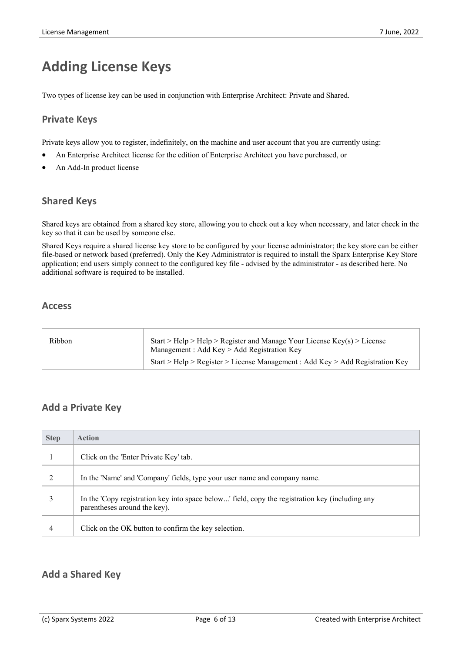### **Adding License Keys**

Two types of license key can be used in conjunction with Enterprise Architect: Private and Shared.

### **Private Keys**

Private keys allow you to register, indefinitely, on the machine and user account that you are currently using:

- An Enterprise Architect license for the edition of Enterprise Architect you have purchased, or
- An Add-In product license

### **Shared Keys**

Shared keysare obtained from a shared keystore, allowing you to check out a key when necessary, and later check in the key so that it can be used by someone else.

Shared Keys require a shared license key store to be configured by your license administrator; the key store can be either file-based or network based (preferred). Only the Key Administrator is required to install the Sparx Enterprise Key Store application; end users simply connect to the configured key file - advised by the administrator - as described here. No additional software is required to be installed.

### **Access**

| Management : Add Key $>$ Add Registration Key | Ribbon |
|-----------------------------------------------|--------|
|-----------------------------------------------|--------|

### **Add a Private Key**

| <b>Step</b> | <b>Action</b>                                                                                                                   |
|-------------|---------------------------------------------------------------------------------------------------------------------------------|
|             | Click on the 'Enter Private Key' tab.                                                                                           |
| C.          | In the 'Name' and 'Company' fields, type your user name and company name.                                                       |
|             | In the 'Copy registration key into space below' field, copy the registration key (including any<br>parentheses around the key). |
| 4           | Click on the OK button to confirm the key selection.                                                                            |

### **Add a Shared Key**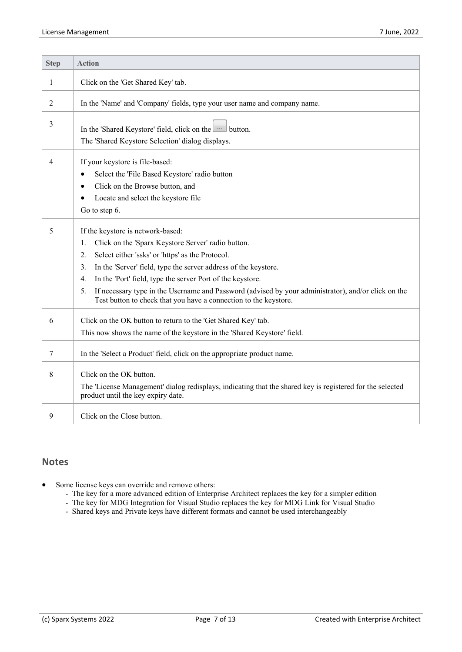| <b>Step</b> | <b>Action</b>                                                                                                                                                                                                                                                                                                                                                                                                                                                                         |
|-------------|---------------------------------------------------------------------------------------------------------------------------------------------------------------------------------------------------------------------------------------------------------------------------------------------------------------------------------------------------------------------------------------------------------------------------------------------------------------------------------------|
| 1           | Click on the 'Get Shared Key' tab.                                                                                                                                                                                                                                                                                                                                                                                                                                                    |
| 2           | In the 'Name' and 'Company' fields, type your user name and company name.                                                                                                                                                                                                                                                                                                                                                                                                             |
| 3           | In the 'Shared Keystore' field, click on the will button.<br>The 'Shared Keystore Selection' dialog displays.                                                                                                                                                                                                                                                                                                                                                                         |
| 4           | If your keystore is file-based:<br>Select the 'File Based Keystore' radio button<br>$\bullet$<br>Click on the Browse button, and<br>$\bullet$<br>Locate and select the keystore file<br>Go to step 6.                                                                                                                                                                                                                                                                                 |
| 5           | If the keystore is network-based:<br>Click on the 'Sparx Keystore Server' radio button.<br>1.<br>Select either 'ssks' or 'https' as the Protocol.<br>2.<br>In the 'Server' field, type the server address of the keystore.<br>3.<br>In the 'Port' field, type the server Port of the keystore.<br>4.<br>If necessary type in the Username and Password (advised by your administrator), and/or click on the<br>5.<br>Test button to check that you have a connection to the keystore. |
| 6           | Click on the OK button to return to the 'Get Shared Key' tab.<br>This now shows the name of the keystore in the 'Shared Keystore' field.                                                                                                                                                                                                                                                                                                                                              |
| 7           | In the 'Select a Product' field, click on the appropriate product name.                                                                                                                                                                                                                                                                                                                                                                                                               |
| 8           | Click on the OK button.<br>The 'License Management' dialog redisplays, indicating that the shared key is registered for the selected<br>product until the key expiry date.                                                                                                                                                                                                                                                                                                            |
| 9           | Click on the Close button.                                                                                                                                                                                                                                                                                                                                                                                                                                                            |

### **Notes**

- Some license keys can override and remove others:
	- The key for a more advanced edition of Enterprise Architect replaces the key for a simpler edition
	- The key for MDG Integration for Visual Studio replaces the key for MDG Link for Visual Studio
	- Shared keys and Private keys have different formats and cannot be used interchangeably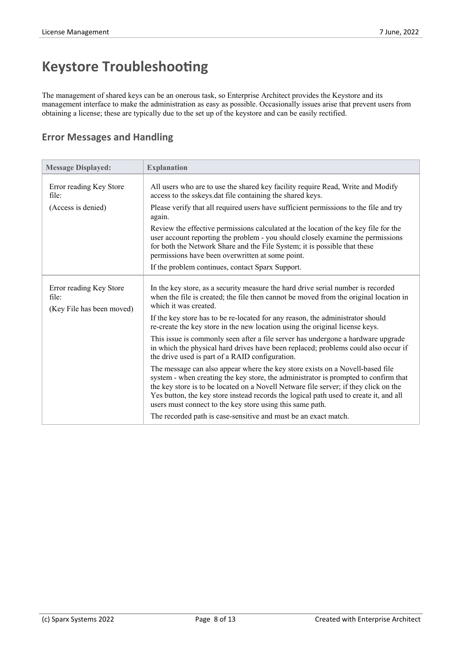# **Keystore Troubleshooting**

The management of shared keys can be an onerous task, so Enterprise Architect provides the Keystore and its management interface to make the administration as easy as possible. Occasionally issues arise that prevent users from obtaining a license; these are typically due to the set up of the keystore and can be easily rectified.

### **Error Messages and Handling**

| <b>Message Displayed:</b>                                     | <b>Explanation</b>                                                                                                                                                                                                                                                                                                                                                                                                 |
|---------------------------------------------------------------|--------------------------------------------------------------------------------------------------------------------------------------------------------------------------------------------------------------------------------------------------------------------------------------------------------------------------------------------------------------------------------------------------------------------|
| Error reading Key Store<br>file:                              | All users who are to use the shared key facility require Read, Write and Modify<br>access to the sskeys dat file containing the shared keys.                                                                                                                                                                                                                                                                       |
| (Access is denied)                                            | Please verify that all required users have sufficient permissions to the file and try<br>again.                                                                                                                                                                                                                                                                                                                    |
|                                                               | Review the effective permissions calculated at the location of the key file for the<br>user account reporting the problem - you should closely examine the permissions<br>for both the Network Share and the File System; it is possible that these<br>permissions have been overwritten at some point.                                                                                                            |
|                                                               | If the problem continues, contact Sparx Support.                                                                                                                                                                                                                                                                                                                                                                   |
| Error reading Key Store<br>file:<br>(Key File has been moved) | In the key store, as a security measure the hard drive serial number is recorded<br>when the file is created; the file then cannot be moved from the original location in<br>which it was created.                                                                                                                                                                                                                 |
|                                                               | If the key store has to be re-located for any reason, the administrator should<br>re-create the key store in the new location using the original license keys.                                                                                                                                                                                                                                                     |
|                                                               | This issue is commonly seen after a file server has undergone a hardware upgrade<br>in which the physical hard drives have been replaced; problems could also occur if<br>the drive used is part of a RAID configuration.                                                                                                                                                                                          |
|                                                               | The message can also appear where the key store exists on a Novell-based file<br>system - when creating the key store, the administrator is prompted to confirm that<br>the key store is to be located on a Novell Netware file server; if they click on the<br>Yes button, the key store instead records the logical path used to create it, and all<br>users must connect to the key store using this same path. |
|                                                               | The recorded path is case-sensitive and must be an exact match.                                                                                                                                                                                                                                                                                                                                                    |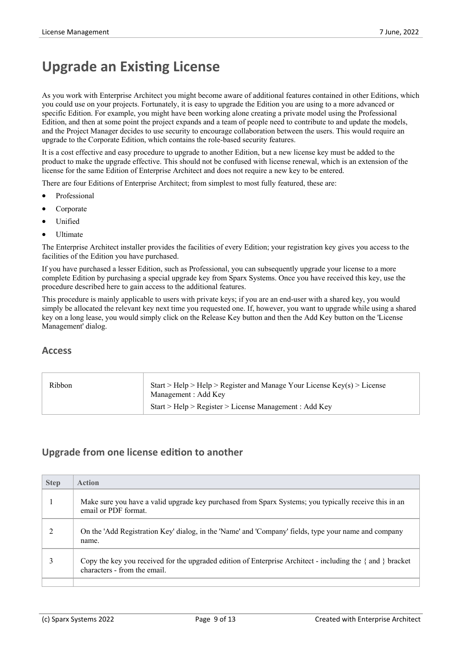### **Upgrade an Existing License**

As you work with Enterprise Architect you might become aware of additional features contained in other Editions, which you could use on your projects. Fortunately, it is easy to upgrade the Edition you are using to a more advanced or specific Edition. For example, you might have been working alone creating a private model using the Professional Edition, and then at some point the project expands and a team of people need to contribute to and update the models, and the Project Manager decides to use security to encourage collaboration between the users. This would require an upgrade to the Corporate Edition, which contains the role-based security features.

It is a cost effective and easy procedure to upgrade to another Edition, but a new license key must be added to the product to make the upgrade effective. This should not be confused with license renewal, which is an extension of the license for the same Edition of Enterprise Architect and doesnot require a new key to be entered.

There are four Editions of Enterprise Architect; from simplest to most fully featured, these are:

- **Professional**
- **Corporate**
- **Unified**
- · Ultimate

The Enterprise Architect installer provides the facilities of every Edition; your registration key gives you access to the facilities of the Edition you have purchased.

If you have purchased a lesserEdition, such as Professional, you can subsequently upgrade yourlicense to a more complete Edition by purchasing a special upgrade key from Sparx Systems. Once you have received this key, use the procedure described here to gain access to the additional features.

This procedure is mainly applicable to users with private keys; if you are an end-user with a shared key, you would simply be allocated the relevant key next time you requested one. If, however, you want to upgrade while using a shared key on a long lease, you would simply click on the Release Key button and then the Add Key button on the 'License Management' dialog.

#### **Access**

| Ribbon | Start > Help > Help > Register and Manage Your License $Key(s)$ > License<br>Management : Add Key |  |
|--------|---------------------------------------------------------------------------------------------------|--|
|        | Start > Help > Register > License Management : Add Key                                            |  |

### **Upgrade from one license edition to another**

| <b>Step</b> | <b>Action</b>                                                                                                                                    |
|-------------|--------------------------------------------------------------------------------------------------------------------------------------------------|
|             | Make sure you have a valid upgrade key purchased from Sparx Systems; you typically receive this in an<br>email or PDF format.                    |
|             | On the 'Add Registration Key' dialog, in the 'Name' and 'Company' fields, type your name and company<br>name.                                    |
|             | Copy the key you received for the upgraded edition of Enterprise Architect - including the $\{$ and $\}$ bracket<br>characters - from the email. |
|             |                                                                                                                                                  |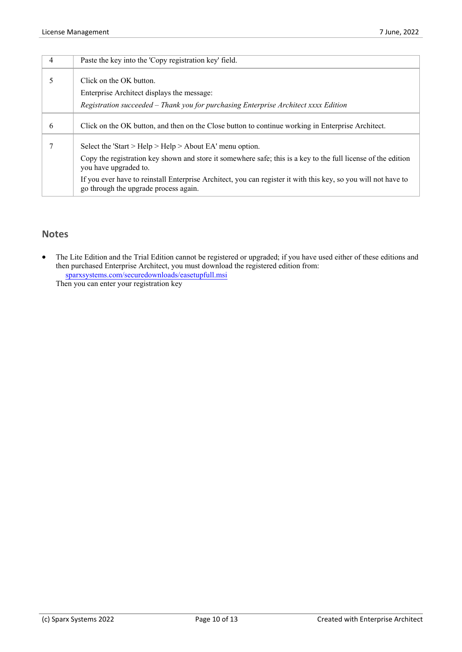| 4             | Paste the key into the 'Copy registration key' field.                                                                                                   |
|---------------|---------------------------------------------------------------------------------------------------------------------------------------------------------|
| $\mathcal{D}$ | Click on the OK button.                                                                                                                                 |
|               | Enterprise Architect displays the message:                                                                                                              |
|               | Registration succeeded - Thank you for purchasing Enterprise Architect xxxx Edition                                                                     |
| 6             | Click on the OK button, and then on the Close button to continue working in Enterprise Architect.                                                       |
|               | Select the 'Start > Help > Help > About EA' menu option.                                                                                                |
|               | Copy the registration key shown and store it somewhere safe; this is a key to the full license of the edition<br>you have upgraded to.                  |
|               | If you ever have to reinstall Enterprise Architect, you can register it with this key, so you will not have to<br>go through the upgrade process again. |

### **Notes**

The Lite Edition and the Trial Edition cannot be registered or upgraded; if you have used either of these editions and then purchased Enterprise Architect, you must download the registered edition from: [sparxsystems.com/securedownloads/easetupfull.msi](https://sparxsystems.com/securedownloads/easetupfull.exe)

Then you can enter your registration key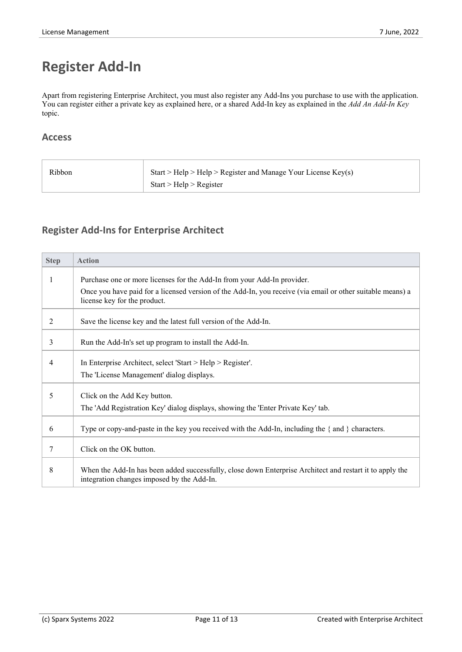# **Register Add-In**

Apart from registering Enterprise Architect, you must also register any Add-Ins you purchase to use with the application. You can register either a private key as explained here, or a shared Add-In key as explained in the *Add An Add-In Key* topic.

### **Access**

| Ribbon | Start > Help > Help > Register and Manage Your License $Key(s)$ |
|--------|-----------------------------------------------------------------|
|        | Start > Help > Register                                         |

### **Register Add-Ins for Enterprise Architect**

| <b>Step</b> | <b>Action</b>                                                                                                                                          |
|-------------|--------------------------------------------------------------------------------------------------------------------------------------------------------|
|             | Purchase one or more licenses for the Add-In from your Add-In provider.                                                                                |
|             | Once you have paid for a licensed version of the Add-In, you receive (via email or other suitable means) a<br>license key for the product.             |
| 2           | Save the license key and the latest full version of the Add-In.                                                                                        |
| 3           | Run the Add-In's set up program to install the Add-In.                                                                                                 |
| 4           | In Enterprise Architect, select 'Start > Help > Register'.                                                                                             |
|             | The 'License Management' dialog displays.                                                                                                              |
| 5           | Click on the Add Key button.                                                                                                                           |
|             | The 'Add Registration Key' dialog displays, showing the 'Enter Private Key' tab.                                                                       |
| 6           | Type or copy-and-paste in the key you received with the Add-In, including the $\{$ and $\}$ characters.                                                |
| 7           | Click on the OK button.                                                                                                                                |
| 8           | When the Add-In has been added successfully, close down Enterprise Architect and restart it to apply the<br>integration changes imposed by the Add-In. |